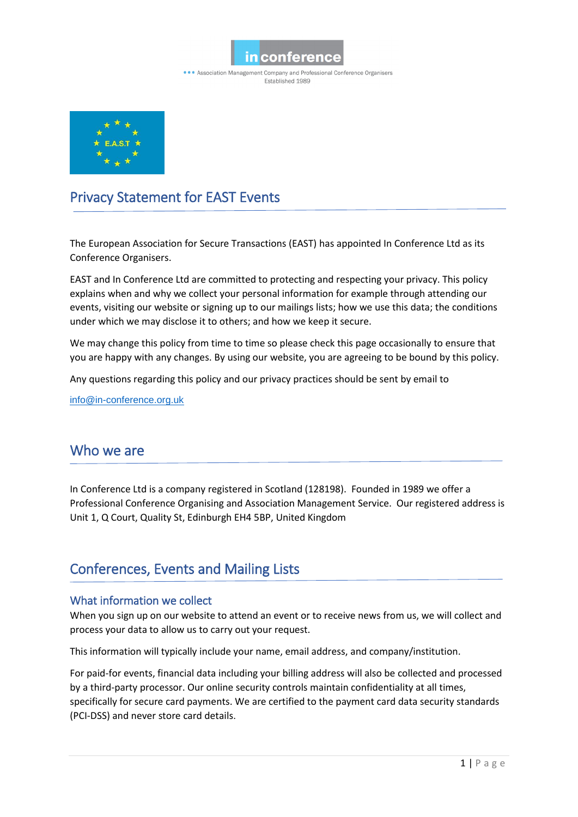

• • Association Management Company and Professional Conference Organisers Established 1989



# Privacy Statement for EAST Events

The European Association for Secure Transactions (EAST) has appointed In Conference Ltd as its Conference Organisers.

EAST and In Conference Ltd are committed to protecting and respecting your privacy. This policy explains when and why we collect your personal information for example through attending our events, visiting our website or signing up to our mailings lists; how we use this data; the conditions under which we may disclose it to others; and how we keep it secure.

We may change this policy from time to time so please check this page occasionally to ensure that you are happy with any changes. By using our website, you are agreeing to be bound by this policy.

Any questions regarding this policy and our privacy practices should be sent by email to

[info@in-conference.org.uk](mailto:info@in-conference.org.uk)

## Who we are

In Conference Ltd is a company registered in Scotland (128198). Founded in 1989 we offer a Professional Conference Organising and Association Management Service. Our registered address is Unit 1, Q Court, Quality St, Edinburgh EH4 5BP, United Kingdom

# Conferences, Events and Mailing Lists

## What information we collect

When you sign up on our website to attend an event or to receive news from us, we will collect and process your data to allow us to carry out your request.

This information will typically include your name, email address, and company/institution.

For paid-for events, financial data including your billing address will also be collected and processed by a third-party processor. Our online security controls maintain confidentiality at all times, specifically for secure card payments. We are certified to the payment card data security standards (PCI-DSS) and never store card details.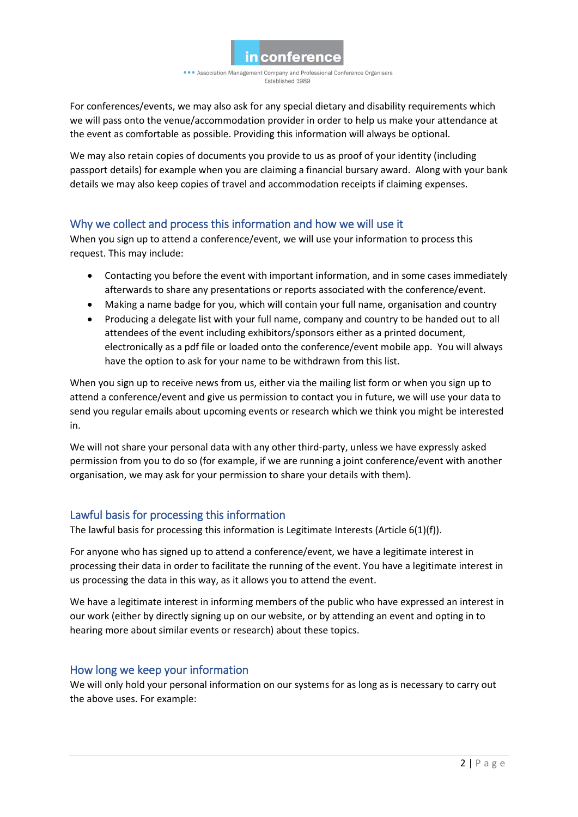

• • Association Management Company and Professional Conference Organisers **Fstablished 1989** 

For conferences/events, we may also ask for any special dietary and disability requirements which we will pass onto the venue/accommodation provider in order to help us make your attendance at the event as comfortable as possible. Providing this information will always be optional.

We may also retain copies of documents you provide to us as proof of your identity (including passport details) for example when you are claiming a financial bursary award. Along with your bank details we may also keep copies of travel and accommodation receipts if claiming expenses.

## Why we collect and process this information and how we will use it

When you sign up to attend a conference/event, we will use your information to process this request. This may include:

- Contacting you before the event with important information, and in some cases immediately afterwards to share any presentations or reports associated with the conference/event.
- Making a name badge for you, which will contain your full name, organisation and country
- Producing a delegate list with your full name, company and country to be handed out to all attendees of the event including exhibitors/sponsors either as a printed document, electronically as a pdf file or loaded onto the conference/event mobile app. You will always have the option to ask for your name to be withdrawn from this list.

When you sign up to receive news from us, either via the mailing list form or when you sign up to attend a conference/event and give us permission to contact you in future, we will use your data to send you regular emails about upcoming events or research which we think you might be interested in.

We will not share your personal data with any other third-party, unless we have expressly asked permission from you to do so (for example, if we are running a joint conference/event with another organisation, we may ask for your permission to share your details with them).

## Lawful basis for processing this information

The lawful basis for processing this information is Legitimate Interests (Article  $6(1)(f)$ ).

For anyone who has signed up to attend a conference/event, we have a legitimate interest in processing their data in order to facilitate the running of the event. You have a legitimate interest in us processing the data in this way, as it allows you to attend the event.

We have a legitimate interest in informing members of the public who have expressed an interest in our work (either by directly signing up on our website, or by attending an event and opting in to hearing more about similar events or research) about these topics.

## How long we keep your information

We will only hold your personal information on our systems for as long as is necessary to carry out the above uses. For example: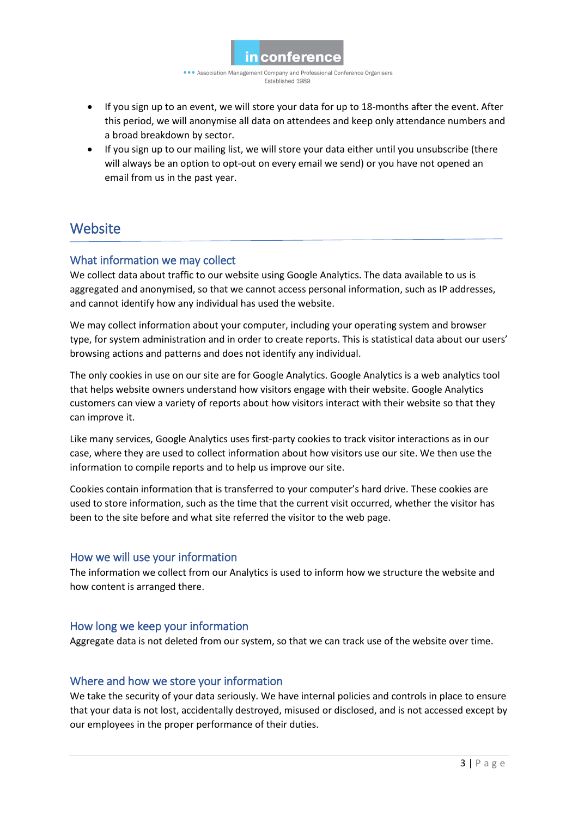

• • Association Management Company and Professional Conference Organisers **Fstablished 1989** 

- If you sign up to an event, we will store your data for up to 18-months after the event. After this period, we will anonymise all data on attendees and keep only attendance numbers and a broad breakdown by sector.
- If you sign up to our mailing list, we will store your data either until you unsubscribe (there will always be an option to opt-out on every email we send) or you have not opened an email from us in the past year.

## **Website**

## What information we may collect

We collect data about traffic to our website using Google Analytics. The data available to us is aggregated and anonymised, so that we cannot access personal information, such as IP addresses, and cannot identify how any individual has used the website.

We may collect information about your computer, including your operating system and browser type, for system administration and in order to create reports. This is statistical data about our users' browsing actions and patterns and does not identify any individual.

The only cookies in use on our site are for Google Analytics. Google Analytics is a web analytics tool that helps website owners understand how visitors engage with their website. Google Analytics customers can view a variety of reports about how visitors interact with their website so that they can improve it.

Like many services, Google Analytics uses first-party cookies to track visitor interactions as in our case, where they are used to collect information about how visitors use our site. We then use the information to compile reports and to help us improve our site.

Cookies contain information that is transferred to your computer's hard drive. These cookies are used to store information, such as the time that the current visit occurred, whether the visitor has been to the site before and what site referred the visitor to the web page.

#### How we will use your information

The information we collect from our Analytics is used to inform how we structure the website and how content is arranged there.

#### How long we keep your information

Aggregate data is not deleted from our system, so that we can track use of the website over time.

#### Where and how we store your information

We take the security of your data seriously. We have internal policies and controls in place to ensure that your data is not lost, accidentally destroyed, misused or disclosed, and is not accessed except by our employees in the proper performance of their duties.